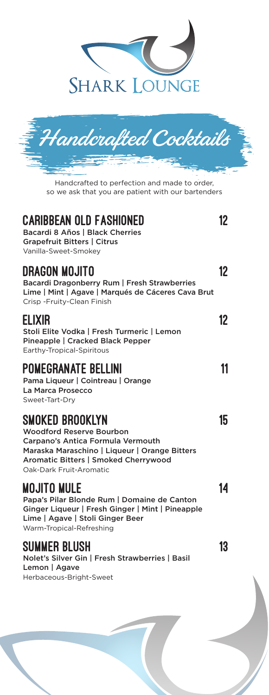



Handcrafted to perfection and made to order, so we ask that you are patient with our bartenders

| <b>CARIBBEAN OLD FASHIONED</b><br>Bacardi 8 Años   Black Cherries<br><b>Grapefruit Bitters   Citrus</b><br>Vanilla-Sweet-Smokev                                                                      | 12 |
|------------------------------------------------------------------------------------------------------------------------------------------------------------------------------------------------------|----|
| DRAGON MOJITO<br>Bacardi Dragonberry Rum   Fresh Strawberries<br>Lime   Mint   Agave   Marqués de Cáceres Cava Brut<br>Crisp - Fruity-Clean Finish                                                   | 12 |
| <b>ELIXIR</b><br>Stoli Elite Vodka   Fresh Turmeric   Lemon<br>Pineapple   Cracked Black Pepper<br>Earthy-Tropical-Spiritous                                                                         | 12 |
| <b>POMEGRANATE BELLINI</b><br>Pama Liqueur   Cointreau   Orange<br>La Marca Prosecco<br>Sweet-Tart-Drv                                                                                               | 11 |
| SMOKED BROOKLYN<br>Woodford Reserve Bourbon<br>Carpano's Antica Formula Vermouth<br>Maraska Maraschino   Liqueur   Orange Bitters<br>Aromatic Bitters   Smoked Cherrywood<br>Oak-Dark Fruit-Aromatic | 15 |
| <b>MOJITO MULE</b><br>Papa's Pilar Blonde Rum   Domaine de Canton<br>Ginger Liqueur   Fresh Ginger   Mint   Pineapple<br>Lime   Agave   Stoli Ginger Beer<br>Warm-Tropical-Refreshing                | 14 |
| SUMMER BLUSH<br>Nolet's Silver Gin   Fresh Strawberries   Basil<br>Lemon   Agave<br>Herbaceous-Bright-Sweet                                                                                          | 13 |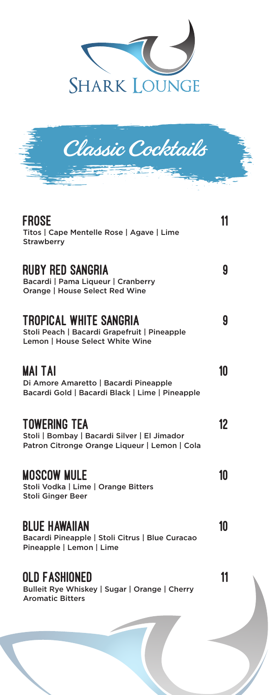



| <b>FROSE</b><br>Titos   Cape Mentelle Rose   Agave   Lime<br><b>Strawberry</b>                                       | 11 |
|----------------------------------------------------------------------------------------------------------------------|----|
| <b>RUBY RED SANGRIA</b><br>Bacardi   Pama Liqueur   Cranberry<br>Orange   House Select Red Wine                      | 9  |
| TROPICAL WHITE SANGRIA<br>Stoli Peach   Bacardi Grapefruit   Pineapple<br>Lemon   House Select White Wine            | g  |
| MAI TAI<br>Di Amore Amaretto   Bacardi Pineapple<br>Bacardi Gold   Bacardi Black   Lime   Pineapple                  | 10 |
| <b>TOWERING TEA</b><br>Stoli   Bombay   Bacardi Silver   El Jimador<br>Patron Citronge Orange Liqueur   Lemon   Cola | 12 |
| <b>MOSCOW MULE</b><br>Stoli Vodka   Lime   Orange Bitters<br><b>Stoli Ginger Beer</b>                                | 10 |
| <b>BLUE HAWAIIAN</b><br>Bacardi Pineapple   Stoli Citrus   Blue Curacao<br>Pineapple   Lemon   Lime                  | 10 |
| OLD FASHIONED<br>Bulleit Rye Whiskey   Sugar   Orange   Cherry<br><b>Aromatic Bitters</b>                            | 11 |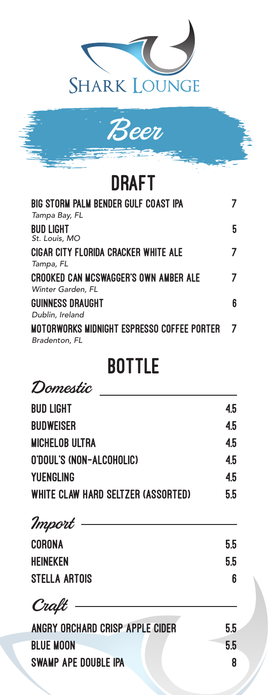



## DRAFT

| <b>BIG STORM PALM BENDER GULF COAST IPA</b><br>Tampa Bay, FL      |   |
|-------------------------------------------------------------------|---|
| <b>BUD LIGHT</b><br>St. Louis, MO                                 | 5 |
| CIGAR CITY FLORIDA CRACKER WHITE ALE<br>Tampa, FL                 |   |
| <b>CROOKED CAN MCSWAGGER'S OWN AMBER ALE</b><br>Winter Garden, FL |   |
| <b>GUINNESS DRAUGHT</b><br>Dublin, Ireland                        | 6 |
| MOTORWORKS MIDNIGHT ESPRESSO COFFEE PORTER<br>Bradenton, FL       |   |

## **BOTTLE**

Domestic

| <b>BUD LIGHT</b>                   | 4.5 |
|------------------------------------|-----|
| <b>BUDWEISER</b>                   | 4.5 |
| <b>MICHELOB ULTRA</b>              | 4.5 |
| O'DOUL'S (NON-ALCOHOLIC)           | 4.5 |
| <b>YUENGLING</b>                   | 4.5 |
| WHITE CLAW HARD SELTZER (ASSORTED) | 5.5 |
| Import                             |     |
| <b>CORONA</b>                      | 5.5 |
| <b>HEINEKEN</b>                    | 5.5 |
| <b>STELLA ARTOIS</b>               | 6   |
| Craft                              |     |
| ANGRY ORCHARD CRISP APPLE CIDER    | 5.5 |
| <b>BLUE MOON</b>                   | 5.5 |

SWAMP APE DOUBLE IPA 8